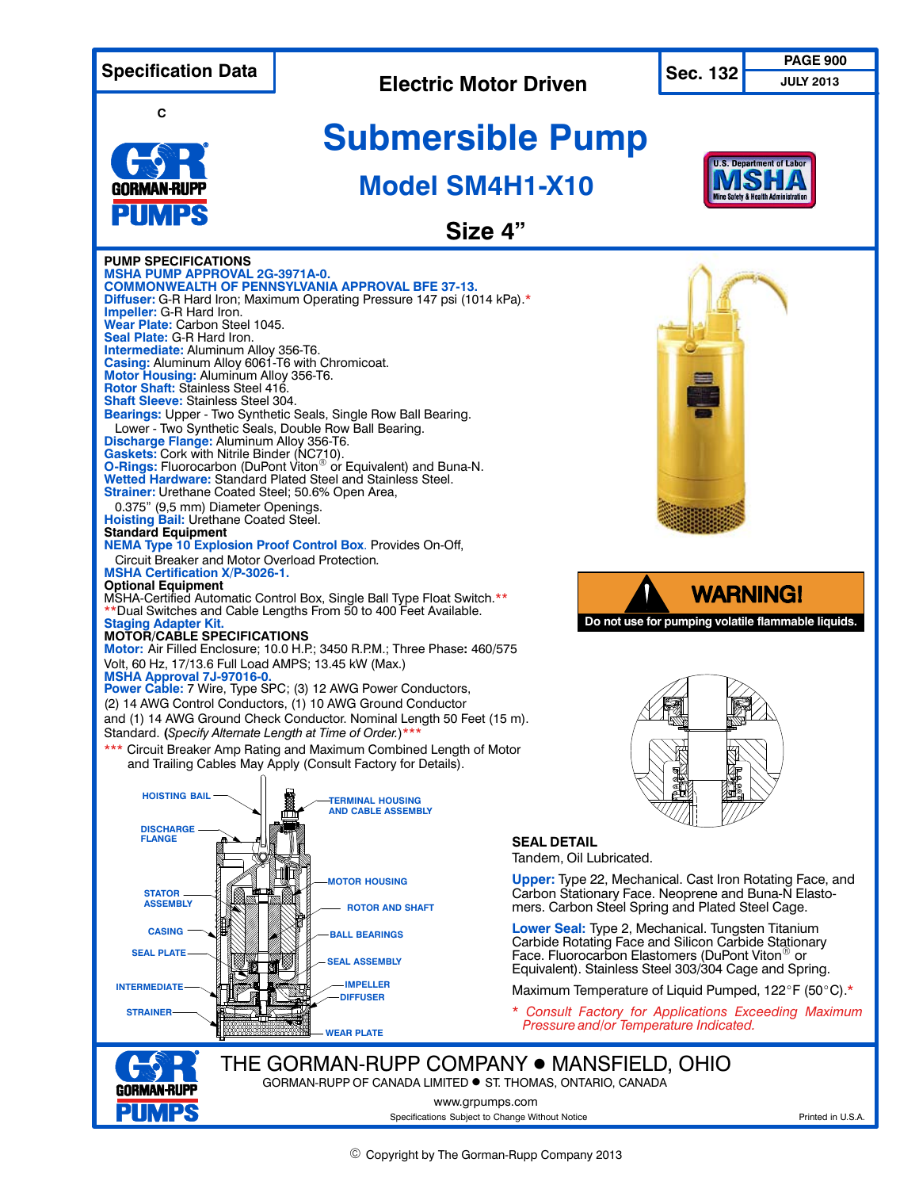